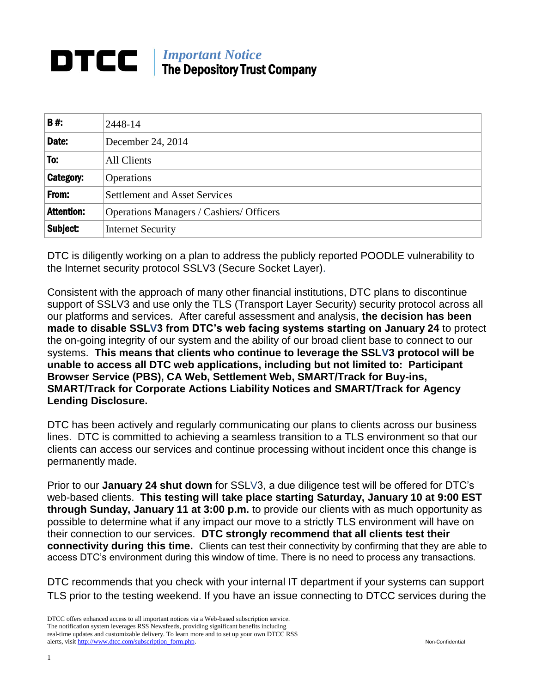## *Important Notice* DTCC I The Depository Trust Company

| <b>B#:</b>        | 2448-14                                  |
|-------------------|------------------------------------------|
| Date:             | December 24, 2014                        |
| To:               | All Clients                              |
| Category:         | <b>Operations</b>                        |
| From:             | <b>Settlement and Asset Services</b>     |
| <b>Attention:</b> | Operations Managers / Cashiers/ Officers |
| Subject:          | <b>Internet Security</b>                 |

DTC is diligently working on a plan to address the publicly reported POODLE vulnerability to the Internet security protocol SSLV3 (Secure Socket Layer).

Consistent with the approach of many other financial institutions, DTC plans to discontinue support of SSLV3 and use only the TLS (Transport Layer Security) security protocol across all our platforms and services. After careful assessment and analysis, **the decision has been made to disable SSLV3 from DTC's web facing systems starting on January 24** to protect the on-going integrity of our system and the ability of our broad client base to connect to our systems. **This means that clients who continue to leverage the SSLV3 protocol will be unable to access all DTC web applications, including but not limited to: Participant Browser Service (PBS), CA Web, Settlement Web, SMART/Track for Buy-ins, SMART/Track for Corporate Actions Liability Notices and SMART/Track for Agency Lending Disclosure.**

DTC has been actively and regularly communicating our plans to clients across our business lines. DTC is committed to achieving a seamless transition to a TLS environment so that our clients can access our services and continue processing without incident once this change is permanently made.

Prior to our **January 24 shut down** for SSLV3, a due diligence test will be offered for DTC's web-based clients. **This testing will take place starting Saturday, January 10 at 9:00 EST through Sunday, January 11 at 3:00 p.m.** to provide our clients with as much opportunity as possible to determine what if any impact our move to a strictly TLS environment will have on their connection to our services. **DTC strongly recommend that all clients test their connectivity during this time.** Clients can test their connectivity by confirming that they are able to access DTC's environment during this window of time. There is no need to process any transactions.

DTC recommends that you check with your internal IT department if your systems can support TLS prior to the testing weekend. If you have an issue connecting to DTCC services during the

DTCC offers enhanced access to all important notices via a Web-based subscription service. The notification system leverages RSS Newsfeeds, providing significant benefits including real-time updates and customizable delivery. To learn more and to set up your own DTCC RSS alerts, visit [http://www.dtcc.com/subscription\\_form.php.](http://www.dtcc.com/subscription_form.php) Non-Confidential